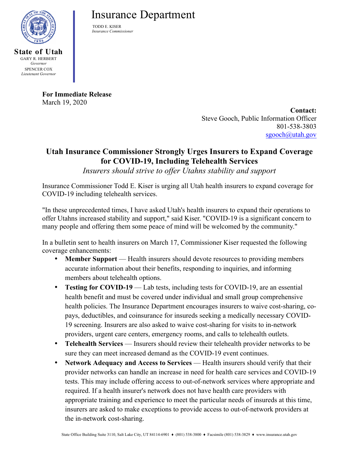

SPENCER COX *Lieutenant Governor*

**State of Utah** GARY R. HERBERT *Governor*

## **Today Service** Insurance Department

TODD E. KISER  *Insurance Commissioner*

**For Immediate Release** March 19, 2020

**Contact:** Steve Gooch, Public Information Officer 801-538-3803 [sgooch@utah.gov](mailto:sgooch@utah.gov)

## **Utah Insurance Commissioner Strongly Urges Insurers to Expand Coverage for COVID-19, Including Telehealth Services**

*Insurers should strive to offer Utahns stability and support*

Insurance Commissioner Todd E. Kiser is urging all Utah health insurers to expand coverage for COVID-19 including telehealth services.

"In these unprecedented times, I have asked Utah's health insurers to expand their operations to offer Utahns increased stability and support," said Kiser. "COVID-19 is a significant concern to many people and offering them some peace of mind will be welcomed by the community."

In a bulletin sent to health insurers on March 17, Commissioner Kiser requested the following coverage enhancements:

- **Member Support** Health insurers should devote resources to providing members accurate information about their benefits, responding to inquiries, and informing members about telehealth options.
- **Testing for COVID-19** Lab tests, including tests for COVID-19, are an essential health benefit and must be covered under individual and small group comprehensive health policies. The Insurance Department encourages insurers to waive cost-sharing, copays, deductibles, and coinsurance for insureds seeking a medically necessary COVID-19 screening. Insurers are also asked to waive cost-sharing for visits to in-network providers, urgent care centers, emergency rooms, and calls to telehealth outlets.
- **Telehealth Services** Insurers should review their telehealth provider networks to be sure they can meet increased demand as the COVID-19 event continues.
- **Network Adequacy and Access to Services** Health insurers should verify that their provider networks can handle an increase in need for health care services and COVID-19 tests. This may include offering access to out-of-network services where appropriate and required. If a health insurer's network does not have health care providers with appropriate training and experience to meet the particular needs of insureds at this time, insurers are asked to make exceptions to provide access to out-of-network providers at the in-network cost-sharing.